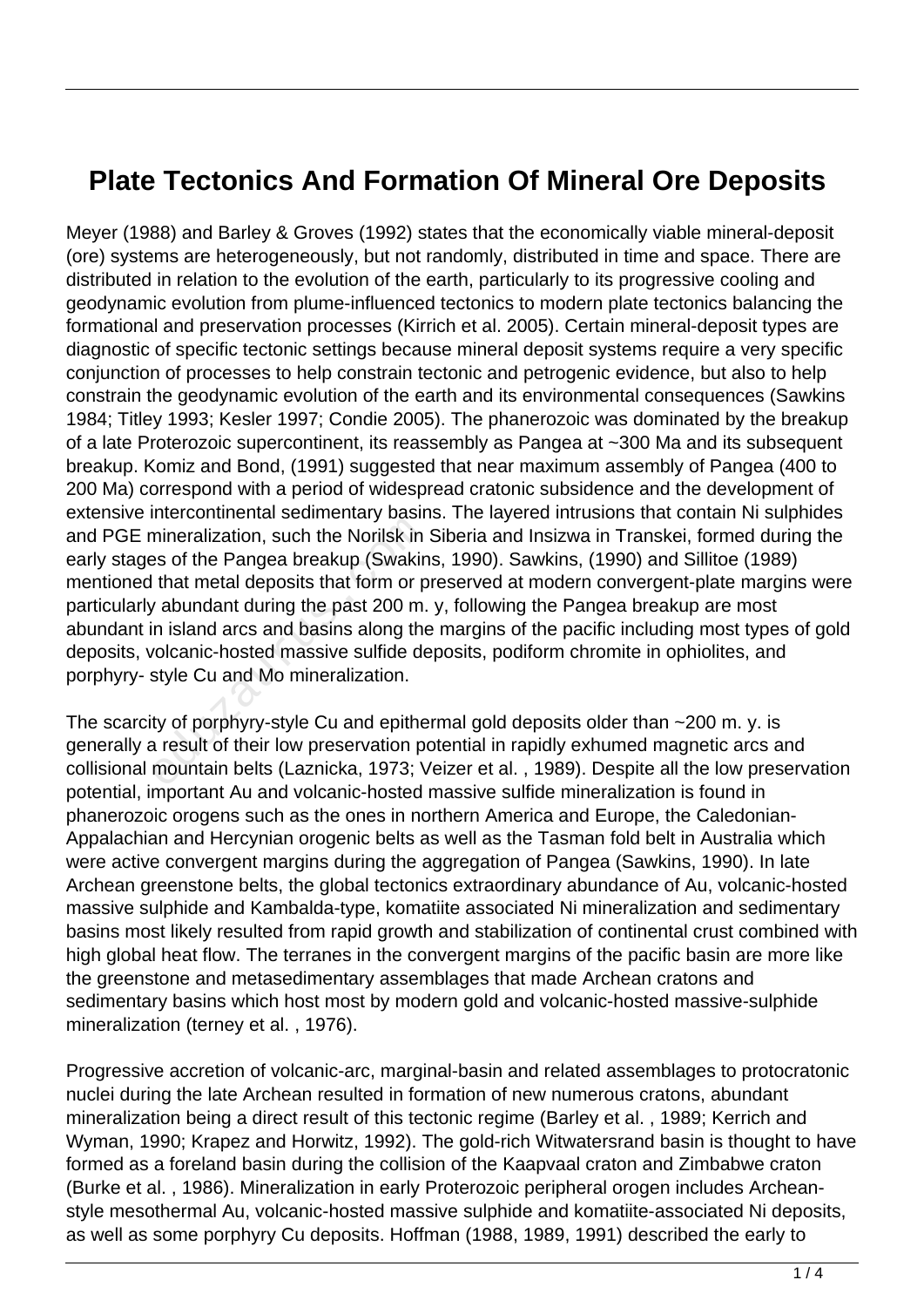## **Plate Tectonics And Formation Of Mineral Ore Deposits**

Meyer (1988) and Barley & Groves (1992) states that the economically viable mineral-deposit (ore) systems are heterogeneously, but not randomly, distributed in time and space. There are distributed in relation to the evolution of the earth, particularly to its progressive cooling and geodynamic evolution from plume-influenced tectonics to modern plate tectonics balancing the formational and preservation processes (Kirrich et al. 2005). Certain mineral-deposit types are diagnostic of specific tectonic settings because mineral deposit systems require a very specific conjunction of processes to help constrain tectonic and petrogenic evidence, but also to help constrain the geodynamic evolution of the earth and its environmental consequences (Sawkins 1984; Titley 1993; Kesler 1997; Condie 2005). The phanerozoic was dominated by the breakup of a late Proterozoic supercontinent, its reassembly as Pangea at ~300 Ma and its subsequent breakup. Komiz and Bond, (1991) suggested that near maximum assembly of Pangea (400 to 200 Ma) correspond with a period of widespread cratonic subsidence and the development of extensive intercontinental sedimentary basins. The layered intrusions that contain Ni sulphides and PGE mineralization, such the Norilsk in Siberia and Insizwa in Transkei, formed during the early stages of the Pangea breakup (Swakins, 1990). Sawkins, (1990) and Sillitoe (1989) mentioned that metal deposits that form or preserved at modern convergent-plate margins were particularly abundant during the past 200 m. y, following the Pangea breakup are most abundant in island arcs and basins along the margins of the pacific including most types of gold deposits, volcanic-hosted massive sulfide deposits, podiform chromite in ophiolites, and porphyry- style Cu and Mo mineralization. mineralization, such the Norilsk in<br>that metal deposits that form or p<br>that metal deposits that form or p<br>that metal deposits that form or p<br>to abundant during the past 200 m.<br>n island arcs and basins along the<br>volcanic-ho

The scarcity of porphyry-style Cu and epithermal gold deposits older than ~200 m. y. is generally a result of their low preservation potential in rapidly exhumed magnetic arcs and collisional mountain belts (Laznicka, 1973; Veizer et al. , 1989). Despite all the low preservation potential, important Au and volcanic-hosted massive sulfide mineralization is found in phanerozoic orogens such as the ones in northern America and Europe, the Caledonian-Appalachian and Hercynian orogenic belts as well as the Tasman fold belt in Australia which were active convergent margins during the aggregation of Pangea (Sawkins, 1990). In late Archean greenstone belts, the global tectonics extraordinary abundance of Au, volcanic-hosted massive sulphide and Kambalda-type, komatiite associated Ni mineralization and sedimentary basins most likely resulted from rapid growth and stabilization of continental crust combined with high global heat flow. The terranes in the convergent margins of the pacific basin are more like the greenstone and metasedimentary assemblages that made Archean cratons and sedimentary basins which host most by modern gold and volcanic-hosted massive-sulphide mineralization (terney et al. , 1976).

Progressive accretion of volcanic-arc, marginal-basin and related assemblages to protocratonic nuclei during the late Archean resulted in formation of new numerous cratons, abundant mineralization being a direct result of this tectonic regime (Barley et al. , 1989; Kerrich and Wyman, 1990; Krapez and Horwitz, 1992). The gold-rich Witwatersrand basin is thought to have formed as a foreland basin during the collision of the Kaapvaal craton and Zimbabwe craton (Burke et al. , 1986). Mineralization in early Proterozoic peripheral orogen includes Archeanstyle mesothermal Au, volcanic-hosted massive sulphide and komatiite-associated Ni deposits, as well as some porphyry Cu deposits. Hoffman (1988, 1989, 1991) described the early to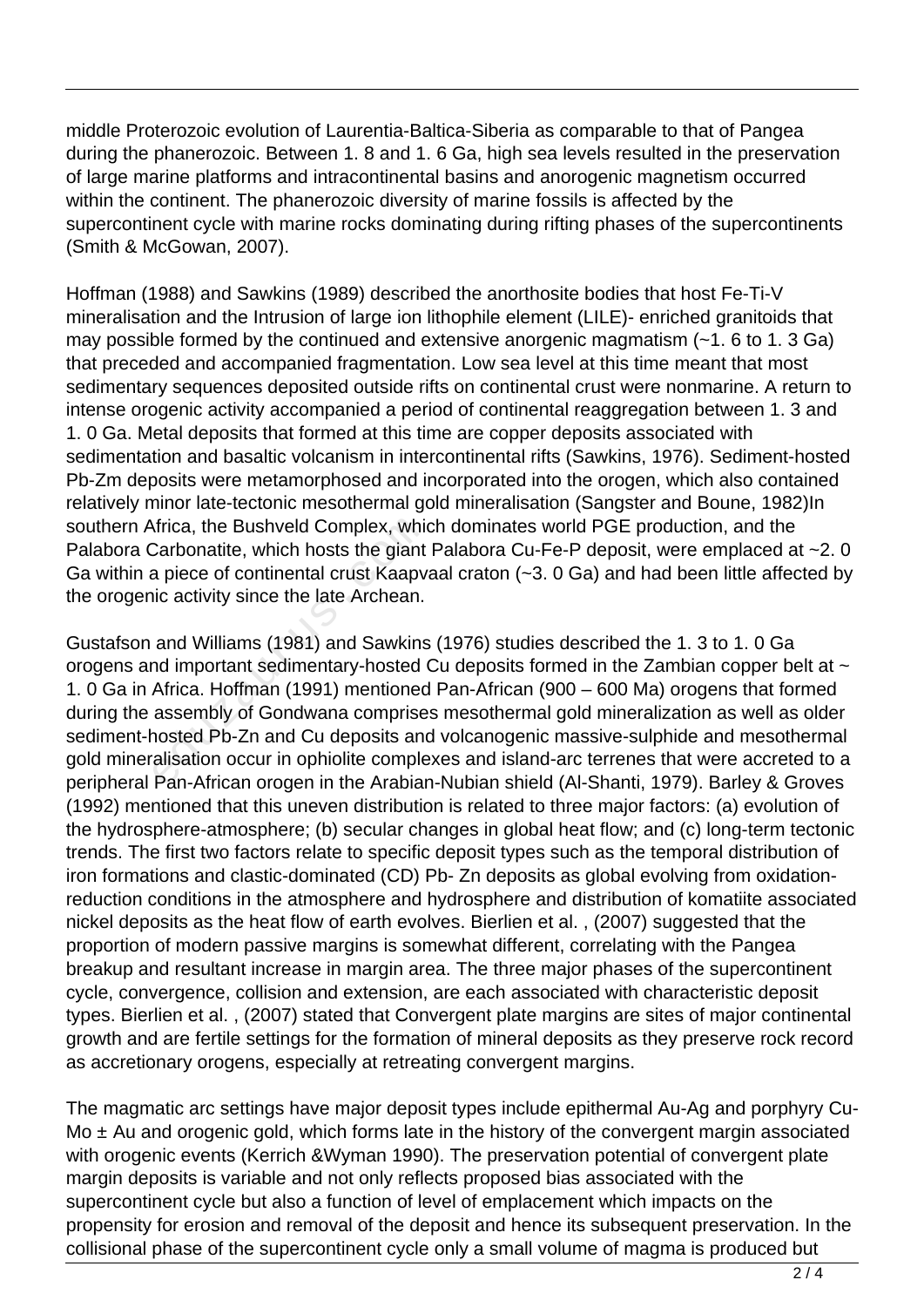middle Proterozoic evolution of Laurentia-Baltica-Siberia as comparable to that of Pangea during the phanerozoic. Between 1. 8 and 1. 6 Ga, high sea levels resulted in the preservation of large marine platforms and intracontinental basins and anorogenic magnetism occurred within the continent. The phanerozoic diversity of marine fossils is affected by the supercontinent cycle with marine rocks dominating during rifting phases of the supercontinents (Smith & McGowan, 2007).

Hoffman (1988) and Sawkins (1989) described the anorthosite bodies that host Fe-Ti-V mineralisation and the Intrusion of large ion lithophile element (LILE)- enriched granitoids that may possible formed by the continued and extensive anorgenic magmatism (~1. 6 to 1. 3 Ga) that preceded and accompanied fragmentation. Low sea level at this time meant that most sedimentary sequences deposited outside rifts on continental crust were nonmarine. A return to intense orogenic activity accompanied a period of continental reaggregation between 1. 3 and 1. 0 Ga. Metal deposits that formed at this time are copper deposits associated with sedimentation and basaltic volcanism in intercontinental rifts (Sawkins, 1976). Sediment-hosted Pb-Zm deposits were metamorphosed and incorporated into the orogen, which also contained relatively minor late-tectonic mesothermal gold mineralisation (Sangster and Boune, 1982)In southern Africa, the Bushveld Complex, which dominates world PGE production, and the Palabora Carbonatite, which hosts the giant Palabora Cu-Fe-P deposit, were emplaced at ~2.0 Ga within a piece of continental crust Kaapvaal craton (~3. 0 Ga) and had been little affected by the orogenic activity since the late Archean.

Gustafson and Williams (1981) and Sawkins (1976) studies described the 1. 3 to 1. 0 Ga orogens and important sedimentary-hosted Cu deposits formed in the Zambian copper belt at  $\sim$ 1. 0 Ga in Africa. Hoffman (1991) mentioned Pan-African (900 – 600 Ma) orogens that formed during the assembly of Gondwana comprises mesothermal gold mineralization as well as older sediment-hosted Pb-Zn and Cu deposits and volcanogenic massive-sulphide and mesothermal gold mineralisation occur in ophiolite complexes and island-arc terrenes that were accreted to a peripheral Pan-African orogen in the Arabian-Nubian shield (Al-Shanti, 1979). Barley & Groves (1992) mentioned that this uneven distribution is related to three major factors: (a) evolution of the hydrosphere-atmosphere; (b) secular changes in global heat flow; and (c) long-term tectonic trends. The first two factors relate to specific deposit types such as the temporal distribution of iron formations and clastic-dominated (CD) Pb- Zn deposits as global evolving from oxidationreduction conditions in the atmosphere and hydrosphere and distribution of komatiite associated nickel deposits as the heat flow of earth evolves. Bierlien et al. , (2007) suggested that the proportion of modern passive margins is somewhat different, correlating with the Pangea breakup and resultant increase in margin area. The three major phases of the supercontinent cycle, convergence, collision and extension, are each associated with characteristic deposit types. Bierlien et al. , (2007) stated that Convergent plate margins are sites of major continental growth and are fertile settings for the formation of mineral deposits as they preserve rock record as accretionary orogens, especially at retreating convergent margins. Africa, the Bushveld Complex, whic<br>Carbonatite, which hosts the giant<br>a piece of continental crust Kaapv<br>iic activity since the late Archean.<br>and Williams (1981) and Sawkins<br>nd important sedimentary-hosted (<br>Africa. Hoffma

The magmatic arc settings have major deposit types include epithermal Au-Ag and porphyry Cu-Mo  $\pm$  Au and orogenic gold, which forms late in the history of the convergent margin associated with orogenic events (Kerrich &Wyman 1990). The preservation potential of convergent plate margin deposits is variable and not only reflects proposed bias associated with the supercontinent cycle but also a function of level of emplacement which impacts on the propensity for erosion and removal of the deposit and hence its subsequent preservation. In the collisional phase of the supercontinent cycle only a small volume of magma is produced but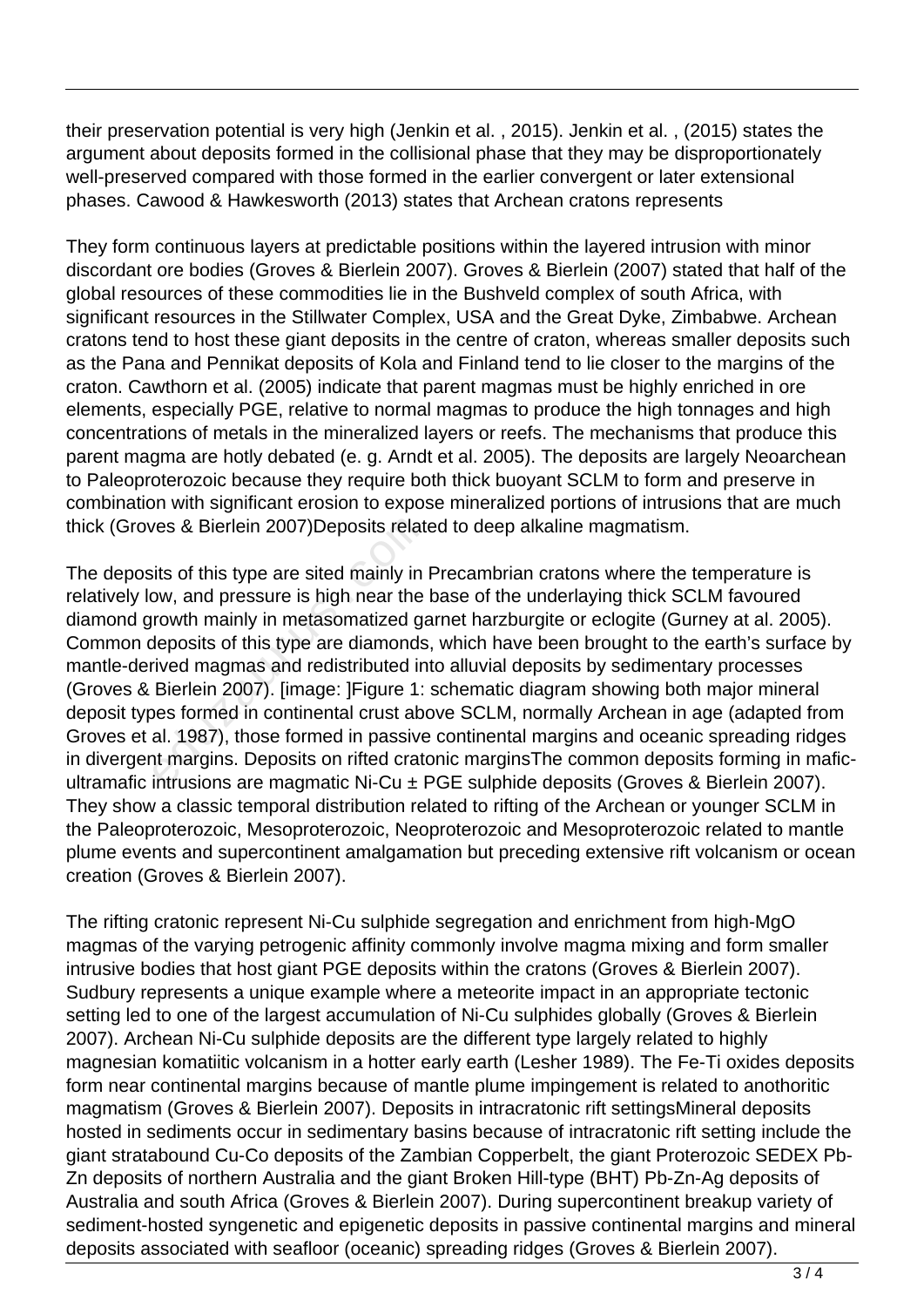their preservation potential is very high (Jenkin et al. , 2015). Jenkin et al. , (2015) states the argument about deposits formed in the collisional phase that they may be disproportionately well-preserved compared with those formed in the earlier convergent or later extensional phases. Cawood & Hawkesworth (2013) states that Archean cratons represents

They form continuous layers at predictable positions within the layered intrusion with minor discordant ore bodies (Groves & Bierlein 2007). Groves & Bierlein (2007) stated that half of the global resources of these commodities lie in the Bushveld complex of south Africa, with significant resources in the Stillwater Complex, USA and the Great Dyke, Zimbabwe. Archean cratons tend to host these giant deposits in the centre of craton, whereas smaller deposits such as the Pana and Pennikat deposits of Kola and Finland tend to lie closer to the margins of the craton. Cawthorn et al. (2005) indicate that parent magmas must be highly enriched in ore elements, especially PGE, relative to normal magmas to produce the high tonnages and high concentrations of metals in the mineralized layers or reefs. The mechanisms that produce this parent magma are hotly debated (e. g. Arndt et al. 2005). The deposits are largely Neoarchean to Paleoproterozoic because they require both thick buoyant SCLM to form and preserve in combination with significant erosion to expose mineralized portions of intrusions that are much thick (Groves & Bierlein 2007)Deposits related to deep alkaline magmatism.

The deposits of this type are sited mainly in Precambrian cratons where the temperature is relatively low, and pressure is high near the base of the underlaying thick SCLM favoured diamond growth mainly in metasomatized garnet harzburgite or eclogite (Gurney at al. 2005). Common deposits of this type are diamonds, which have been brought to the earth's surface by mantle-derived magmas and redistributed into alluvial deposits by sedimentary processes (Groves & Bierlein 2007). [image: ]Figure 1: schematic diagram showing both major mineral deposit types formed in continental crust above SCLM, normally Archean in age (adapted from Groves et al. 1987), those formed in passive continental margins and oceanic spreading ridges in divergent margins. Deposits on rifted cratonic marginsThe common deposits forming in maficultramafic intrusions are magmatic Ni-Cu ± PGE sulphide deposits (Groves & Bierlein 2007). They show a classic temporal distribution related to rifting of the Archean or younger SCLM in the Paleoproterozoic, Mesoproterozoic, Neoproterozoic and Mesoproterozoic related to mantle plume events and supercontinent amalgamation but preceding extensive rift volcanism or ocean creation (Groves & Bierlein 2007). ves & Bierlein 2007)Deposits relate<br>its of this type are sited mainly in<br>ow, and pressure is high near the<br>rowth mainly in metasomatized ga<br>deposits of this type are diamonds<br>ived magmas and redistributed in<br>Bierlein 2007)

The rifting cratonic represent Ni-Cu sulphide segregation and enrichment from high-MgO magmas of the varying petrogenic affinity commonly involve magma mixing and form smaller intrusive bodies that host giant PGE deposits within the cratons (Groves & Bierlein 2007). Sudbury represents a unique example where a meteorite impact in an appropriate tectonic setting led to one of the largest accumulation of Ni-Cu sulphides globally (Groves & Bierlein 2007). Archean Ni-Cu sulphide deposits are the different type largely related to highly magnesian komatiitic volcanism in a hotter early earth (Lesher 1989). The Fe-Ti oxides deposits form near continental margins because of mantle plume impingement is related to anothoritic magmatism (Groves & Bierlein 2007). Deposits in intracratonic rift settingsMineral deposits hosted in sediments occur in sedimentary basins because of intracratonic rift setting include the giant stratabound Cu-Co deposits of the Zambian Copperbelt, the giant Proterozoic SEDEX Pb-Zn deposits of northern Australia and the giant Broken Hill-type (BHT) Pb-Zn-Ag deposits of Australia and south Africa (Groves & Bierlein 2007). During supercontinent breakup variety of sediment-hosted syngenetic and epigenetic deposits in passive continental margins and mineral deposits associated with seafloor (oceanic) spreading ridges (Groves & Bierlein 2007).